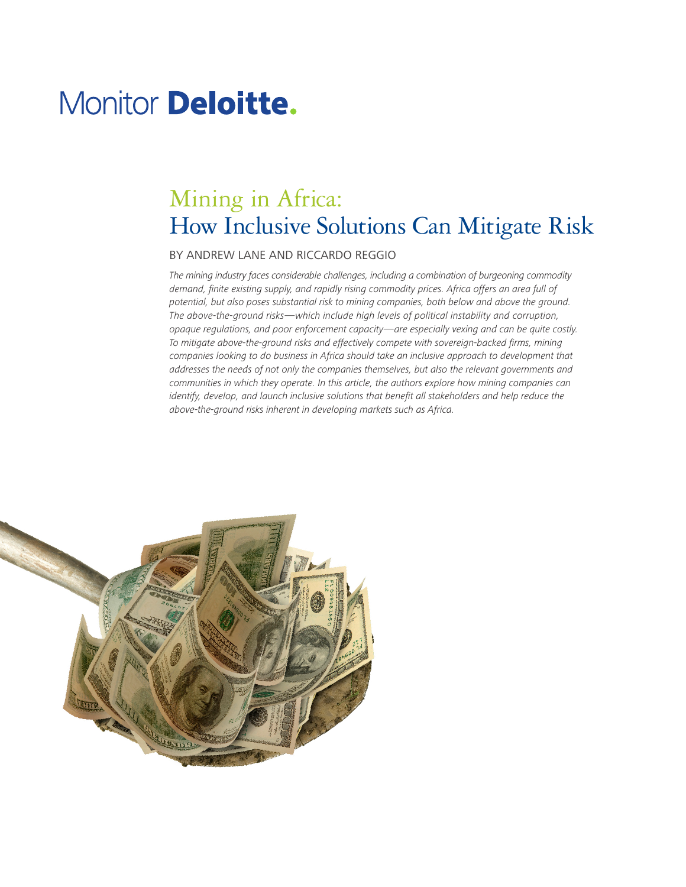# Monitor **Deloitte.**

## Mining in Africa: How Inclusive Solutions Can Mitigate Risk

#### BY ANDREW LANE AND RICCARDO REGGIO

*The mining industry faces considerable challenges, including a combination of burgeoning commodity demand, finite existing supply, and rapidly rising commodity prices. Africa offers an area full of potential, but also poses substantial risk to mining companies, both below and above the ground. The above-the-ground risks—which include high levels of political instability and corruption, opaque regulations, and poor enforcement capacity—are especially vexing and can be quite costly. To mitigate above-the-ground risks and effectively compete with sovereign-backed firms, mining*  companies looking to do business in Africa should take an inclusive approach to development that *addresses the needs of not only the companies themselves, but also the relevant governments and communities in which they operate. In this article, the authors explore how mining companies can identify, develop, and launch inclusive solutions that benefit all stakeholders and help reduce the above-the-ground risks inherent in developing markets such as Africa.* 

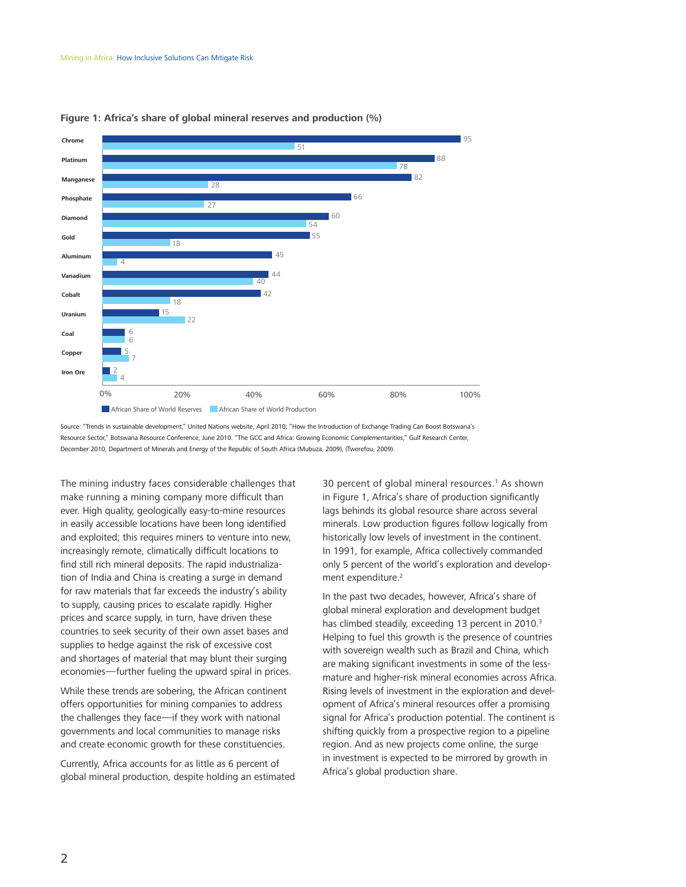

#### **Figure 1: Africa's share of global mineral reserves and production (%)**

Source: "Trends in sustainable development," United Nations website, April 2010; "How the Introduction of Exchange Trading Can Boost Botswana's Resource Sector," Botswana Resource Conference, June 2010. "The GCC and Africa: Growing Economic Complementarities," Gulf Research Center, December 2010, Department of Minerals and Energy of the Republic of South Africa (Mubuza, 2009), (Twerefou, 2009).

The mining industry faces considerable challenges that make running a mining company more difficult than ever. High quality, geologically easy-to-mine resources in easily accessible locations have been long identified and exploited; this requires miners to venture into new, increasingly remote, climatically difficult locations to find still rich mineral deposits. The rapid industrialization of India and China is creating a surge in demand for raw materials that far exceeds the industry's ability to supply, causing prices to escalate rapidly. Higher prices and scarce supply, in turn, have driven these countries to seek security of their own asset bases and supplies to hedge against the risk of excessive cost and shortages of material that may blunt their surging economies—further fueling the upward spiral in prices.

While these trends are sobering, the African continent offers opportunities for mining companies to address the challenges they face—if they work with national governments and local communities to manage risks and create economic growth for these constituencies.

Currently, Africa accounts for as little as 6 percent of global mineral production, despite holding an estimated

30 percent of global mineral resources.<sup>1</sup> As shown in Figure 1, Africa's share of production significantly lags behinds its global resource share across several minerals. Low production figures follow logically from historically low levels of investment in the continent. In 1991, for example, Africa collectively commanded only 5 percent of the world's exploration and development expenditure.<sup>2</sup>

In the past two decades, however, Africa's share of global mineral exploration and development budget has climbed steadily, exceeding 13 percent in 2010.<sup>3</sup> Helping to fuel this growth is the presence of countries with sovereign wealth such as Brazil and China, which are making significant investments in some of the lessmature and higher-risk mineral economies across Africa. Rising levels of investment in the exploration and development of Africa's mineral resources offer a promising signal for Africa's production potential. The continent is shifting quickly from a prospective region to a pipeline region. And as new projects come online, the surge in investment is expected to be mirrored by growth in Africa's global production share.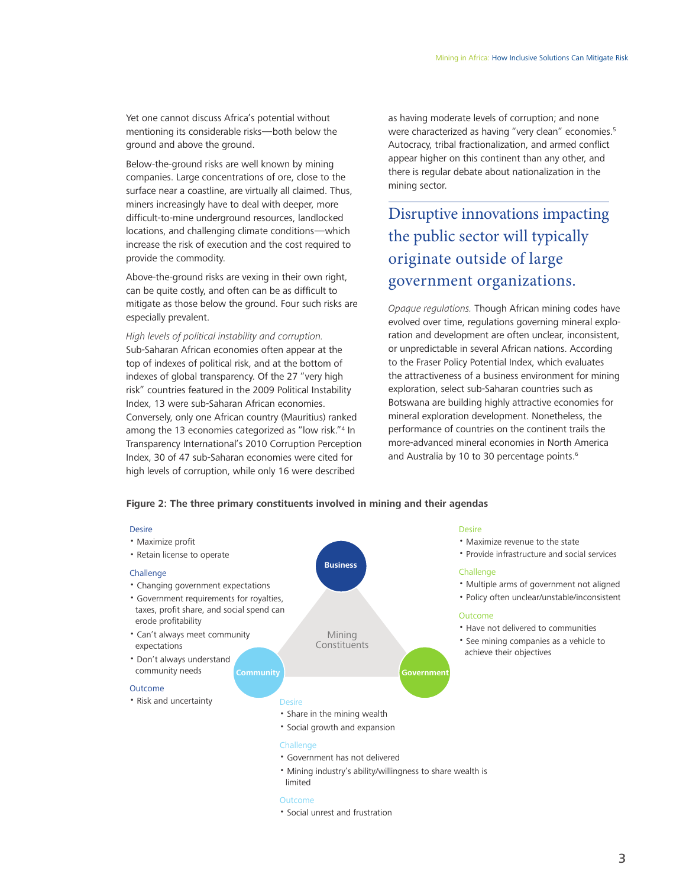Yet one cannot discuss Africa's potential without mentioning its considerable risks—both below the ground and above the ground.

Below-the-ground risks are well known by mining companies. Large concentrations of ore, close to the surface near a coastline, are virtually all claimed. Thus, miners increasingly have to deal with deeper, more difficult-to-mine underground resources, landlocked locations, and challenging climate conditions—which increase the risk of execution and the cost required to provide the commodity.

Above-the-ground risks are vexing in their own right, can be quite costly, and often can be as difficult to mitigate as those below the ground. Four such risks are especially prevalent.

*High levels of political instability and corruption.*  Sub-Saharan African economies often appear at the top of indexes of political risk, and at the bottom of indexes of global transparency. Of the 27 "very high risk" countries featured in the 2009 Political Instability Index, 13 were sub-Saharan African economies. Conversely, only one African country (Mauritius) ranked among the 13 economies categorized as "low risk."4 In Transparency International's 2010 Corruption Perception Index, 30 of 47 sub-Saharan economies were cited for high levels of corruption, while only 16 were described

as having moderate levels of corruption; and none were characterized as having "very clean" economies.<sup>5</sup> Autocracy, tribal fractionalization, and armed conflict appear higher on this continent than any other, and there is regular debate about nationalization in the mining sector.

Disruptive innovations impacting the public sector will typically originate outside of large government organizations.

*Opaque regulations.* Though African mining codes have evolved over time, regulations governing mineral exploration and development are often unclear, inconsistent, or unpredictable in several African nations. According to the Fraser Policy Potential Index, which evaluates the attractiveness of a business environment for mining exploration, select sub-Saharan countries such as Botswana are building highly attractive economies for mineral exploration development. Nonetheless, the performance of countries on the continent trails the more-advanced mineral economies in North America and Australia by 10 to 30 percentage points.<sup>6</sup>

#### **Figure 2: The three primary constituents involved in mining and their agendas**

#### Desire



- Government has not delivered
- Mining industry's ability/willingness to share wealth is limited

#### Outcome

• Social unrest and frustration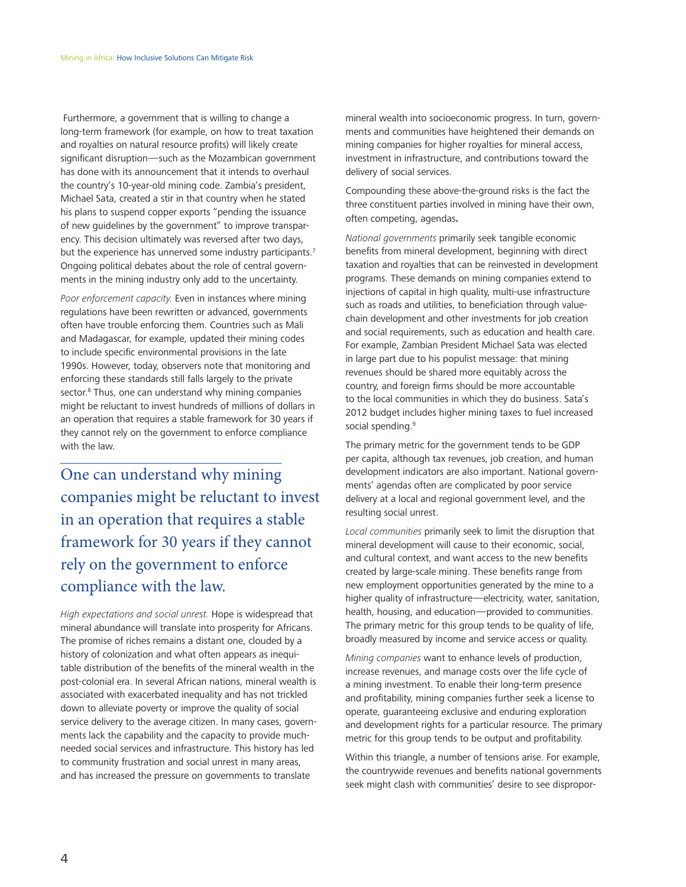Furthermore, a government that is willing to change a long-term framework (for example, on how to treat taxation and royalties on natural resource profits) will likely create significant disruption—such as the Mozambican government has done with its announcement that it intends to overhaul the country's 10-year-old mining code. Zambia's president, Michael Sata, created a stir in that country when he stated his plans to suspend copper exports "pending the issuance of new guidelines by the government" to improve transparency. This decision ultimately was reversed after two days, but the experience has unnerved some industry participants.<sup>7</sup> Ongoing political debates about the role of central governments in the mining industry only add to the uncertainty.

*Poor enforcement capacity.* Even in instances where mining regulations have been rewritten or advanced, governments often have trouble enforcing them. Countries such as Mali and Madagascar, for example, updated their mining codes to include specific environmental provisions in the late 1990s. However, today, observers note that monitoring and enforcing these standards still falls largely to the private sector.<sup>8</sup> Thus, one can understand why mining companies might be reluctant to invest hundreds of millions of dollars in an operation that requires a stable framework for 30 years if they cannot rely on the government to enforce compliance with the law.

One can understand why mining companies might be reluctant to invest in an operation that requires a stable framework for 30 years if they cannot rely on the government to enforce compliance with the law.

*High expectations and social unrest.* Hope is widespread that mineral abundance will translate into prosperity for Africans. The promise of riches remains a distant one, clouded by a history of colonization and what often appears as inequitable distribution of the benefits of the mineral wealth in the post-colonial era. In several African nations, mineral wealth is associated with exacerbated inequality and has not trickled down to alleviate poverty or improve the quality of social service delivery to the average citizen. In many cases, governments lack the capability and the capacity to provide muchneeded social services and infrastructure. This history has led to community frustration and social unrest in many areas, and has increased the pressure on governments to translate

mineral wealth into socioeconomic progress. In turn, governments and communities have heightened their demands on mining companies for higher royalties for mineral access, investment in infrastructure, and contributions toward the delivery of social services.

Compounding these above-the-ground risks is the fact the three constituent parties involved in mining have their own, often competing, agendas.

*National governments* primarily seek tangible economic benefits from mineral development, beginning with direct taxation and royalties that can be reinvested in development programs. These demands on mining companies extend to injections of capital in high quality, multi-use infrastructure such as roads and utilities, to beneficiation through valuechain development and other investments for job creation and social requirements, such as education and health care. For example, Zambian President Michael Sata was elected in large part due to his populist message: that mining revenues should be shared more equitably across the country, and foreign firms should be more accountable to the local communities in which they do business. Sata's 2012 budget includes higher mining taxes to fuel increased social spending.<sup>9</sup>

The primary metric for the government tends to be GDP per capita, although tax revenues, job creation, and human development indicators are also important. National governments' agendas often are complicated by poor service delivery at a local and regional government level, and the resulting social unrest.

*Local communities* primarily seek to limit the disruption that mineral development will cause to their economic, social, and cultural context, and want access to the new benefits created by large-scale mining. These benefits range from new employment opportunities generated by the mine to a higher quality of infrastructure—electricity, water, sanitation, health, housing, and education—provided to communities. The primary metric for this group tends to be quality of life, broadly measured by income and service access or quality.

*Mining companies* want to enhance levels of production, increase revenues, and manage costs over the life cycle of a mining investment. To enable their long-term presence and profitability, mining companies further seek a license to operate, guaranteeing exclusive and enduring exploration and development rights for a particular resource. The primary metric for this group tends to be output and profitability.

Within this triangle, a number of tensions arise. For example, the countrywide revenues and benefits national governments seek might clash with communities' desire to see dispropor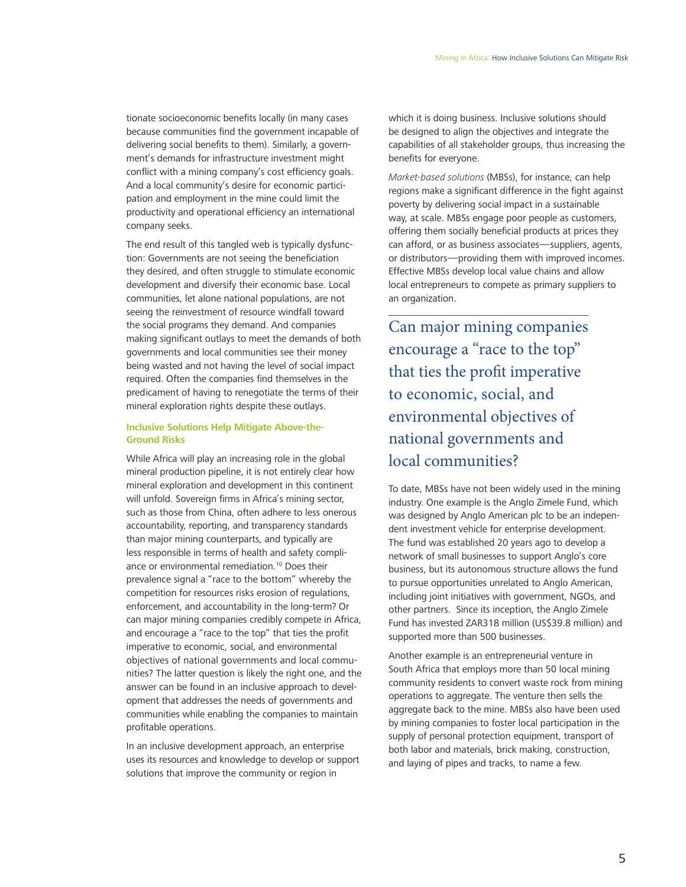tionate socioeconomic benefits locally (in many cases because communities find the government incapable of delivering social benefits to them). Similarly, a government's demands for infrastructure investment might conflict with a mining company's cost efficiency goals. And a local community's desire for economic participation and employment in the mine could limit the productivity and operational efficiency an international company seeks.

The end result of this tangled web is typically dysfunction: Governments are not seeing the beneficiation they desired, and often struggle to stimulate economic development and diversify their economic base. Local communities, let alone national populations, are not seeing the reinvestment of resource windfall toward the social programs they demand. And companies making significant outlays to meet the demands of both governments and local communities see their money being wasted and not having the level of social impact required. Often the companies find themselves in the predicament of having to renegotiate the terms of their mineral exploration rights despite these outlays.

#### **Inclusive Solutions Help Mitigate Above-the-Ground Risks**

While Africa will play an increasing role in the global mineral production pipeline, it is not entirely clear how mineral exploration and development in this continent will unfold. Sovereign firms in Africa's mining sector, such as those from China, often adhere to less onerous accountability, reporting, and transparency standards than major mining counterparts, and typically are less responsible in terms of health and safety compliance or environmental remediation.10 Does their prevalence signal a "race to the bottom" whereby the competition for resources risks erosion of regulations, enforcement, and accountability in the long-term? Or can major mining companies credibly compete in Africa, and encourage a "race to the top" that ties the profit imperative to economic, social, and environmental objectives of national governments and local communities? The latter question is likely the right one, and the answer can be found in an inclusive approach to development that addresses the needs of governments and communities while enabling the companies to maintain profitable operations.

In an inclusive development approach, an enterprise uses its resources and knowledge to develop or support solutions that improve the community or region in

which it is doing business. Inclusive solutions should be designed to align the objectives and integrate the capabilities of all stakeholder groups, thus increasing the benefits for everyone.

*Market-based solutions* (MBSs), for instance, can help regions make a significant difference in the fight against poverty by delivering social impact in a sustainable way, at scale. MBSs engage poor people as customers, offering them socially beneficial products at prices they can afford, or as business associates—suppliers, agents, or distributors—providing them with improved incomes. Effective MBSs develop local value chains and allow local entrepreneurs to compete as primary suppliers to an organization.

Can major mining companies encourage a "race to the top" that ties the profit imperative to economic, social, and environmental objectives of national governments and local communities?

To date, MBSs have not been widely used in the mining industry. One example is the Anglo Zimele Fund, which was designed by Anglo American plc to be an independent investment vehicle for enterprise development. The fund was established 20 years ago to develop a network of small businesses to support Anglo's core business, but its autonomous structure allows the fund to pursue opportunities unrelated to Anglo American, including joint initiatives with government, NGOs, and other partners. Since its inception, the Anglo Zimele Fund has invested ZAR318 million (US\$39.8 million) and supported more than 500 businesses.

Another example is an entrepreneurial venture in South Africa that employs more than 50 local mining community residents to convert waste rock from mining operations to aggregate. The venture then sells the aggregate back to the mine. MBSs also have been used by mining companies to foster local participation in the supply of personal protection equipment, transport of both labor and materials, brick making, construction, and laying of pipes and tracks, to name a few.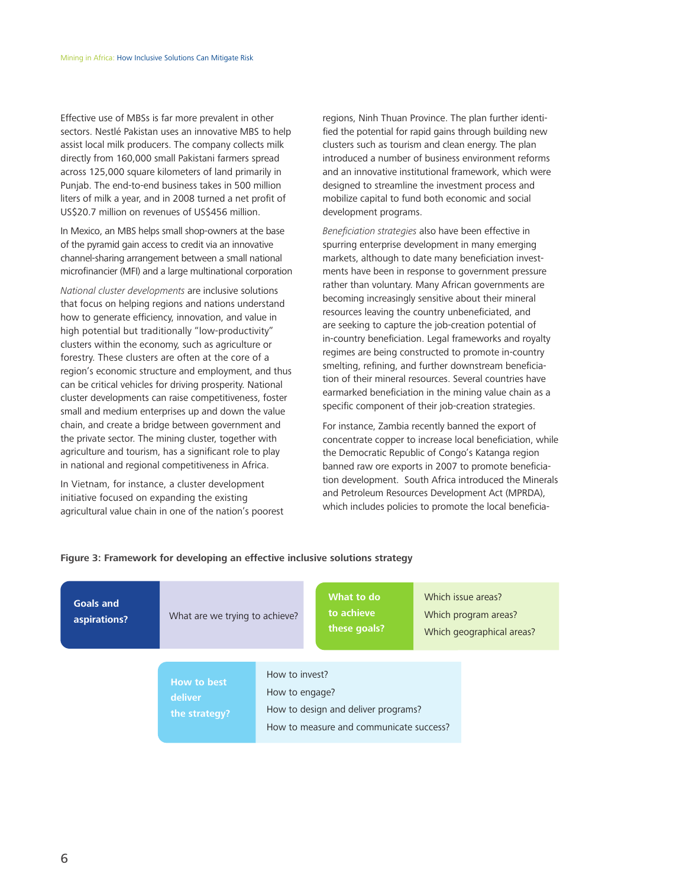Effective use of MBSs is far more prevalent in other sectors. Nestlé Pakistan uses an innovative MBS to help assist local milk producers. The company collects milk directly from 160,000 small Pakistani farmers spread across 125,000 square kilometers of land primarily in Punjab. The end-to-end business takes in 500 million liters of milk a year, and in 2008 turned a net profit of US\$20.7 million on revenues of US\$456 million.

In Mexico, an MBS helps small shop-owners at the base of the pyramid gain access to credit via an innovative channel-sharing arrangement between a small national microfinancier (MFI) and a large multinational corporation

*National cluster developments* are inclusive solutions that focus on helping regions and nations understand how to generate efficiency, innovation, and value in high potential but traditionally "low-productivity" clusters within the economy, such as agriculture or forestry. These clusters are often at the core of a region's economic structure and employment, and thus can be critical vehicles for driving prosperity. National cluster developments can raise competitiveness, foster small and medium enterprises up and down the value chain, and create a bridge between government and the private sector. The mining cluster, together with agriculture and tourism, has a significant role to play in national and regional competitiveness in Africa.

In Vietnam, for instance, a cluster development initiative focused on expanding the existing agricultural value chain in one of the nation's poorest regions, Ninh Thuan Province. The plan further identified the potential for rapid gains through building new clusters such as tourism and clean energy. The plan introduced a number of business environment reforms and an innovative institutional framework, which were designed to streamline the investment process and mobilize capital to fund both economic and social development programs.

*Beneficiation strategies* also have been effective in spurring enterprise development in many emerging markets, although to date many beneficiation investments have been in response to government pressure rather than voluntary. Many African governments are becoming increasingly sensitive about their mineral resources leaving the country unbeneficiated, and are seeking to capture the job-creation potential of in-country beneficiation. Legal frameworks and royalty regimes are being constructed to promote in-country smelting, refining, and further downstream beneficiation of their mineral resources. Several countries have earmarked beneficiation in the mining value chain as a specific component of their job-creation strategies.

For instance, Zambia recently banned the export of concentrate copper to increase local beneficiation, while the Democratic Republic of Congo's Katanga region banned raw ore exports in 2007 to promote beneficiation development. South Africa introduced the Minerals and Petroleum Resources Development Act (MPRDA), which includes policies to promote the local beneficia-

| <b>Goals and</b><br>aspirations? | What are we trying to achieve?                 |                                                                                                                    | What to do<br>to achieve<br>these goals? | Which issue areas?<br>Which program areas?<br>Which geographical areas? |
|----------------------------------|------------------------------------------------|--------------------------------------------------------------------------------------------------------------------|------------------------------------------|-------------------------------------------------------------------------|
|                                  | <b>How to best</b><br>deliver<br>the strategy? | How to invest?<br>How to engage?<br>How to design and deliver programs?<br>How to measure and communicate success? |                                          |                                                                         |

#### **Figure 3: Framework for developing an effective inclusive solutions strategy**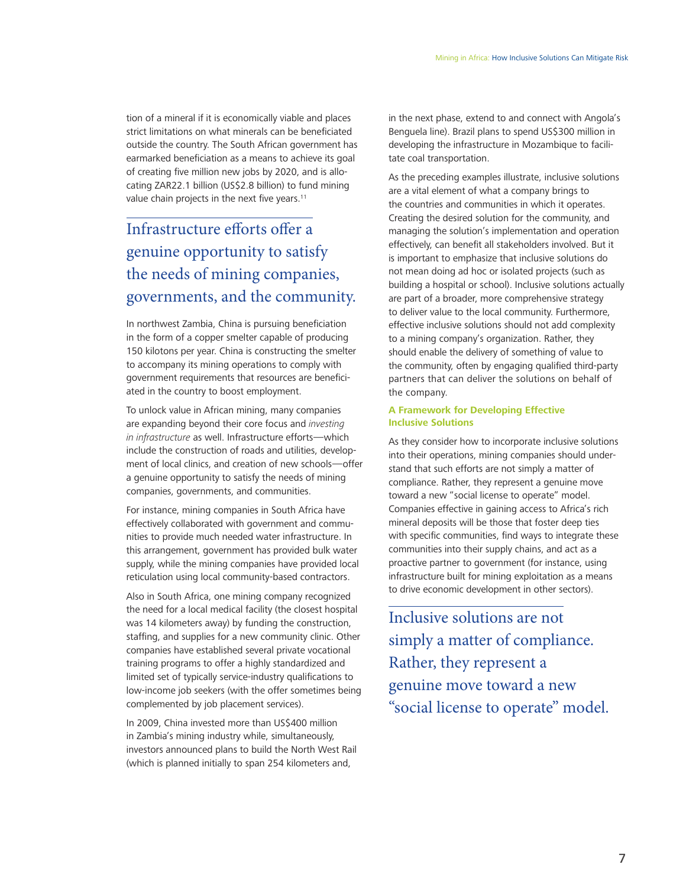tion of a mineral if it is economically viable and places strict limitations on what minerals can be beneficiated outside the country. The South African government has earmarked beneficiation as a means to achieve its goal of creating five million new jobs by 2020, and is allocating ZAR22.1 billion (US\$2.8 billion) to fund mining value chain projects in the next five years.<sup>11</sup>

### Infrastructure efforts offer a genuine opportunity to satisfy the needs of mining companies, governments, and the community.

In northwest Zambia, China is pursuing beneficiation in the form of a copper smelter capable of producing 150 kilotons per year. China is constructing the smelter to accompany its mining operations to comply with government requirements that resources are beneficiated in the country to boost employment.

To unlock value in African mining, many companies are expanding beyond their core focus and *investing in infrastructure* as well. Infrastructure efforts—which include the construction of roads and utilities, development of local clinics, and creation of new schools—offer a genuine opportunity to satisfy the needs of mining companies, governments, and communities.

For instance, mining companies in South Africa have effectively collaborated with government and communities to provide much needed water infrastructure. In this arrangement, government has provided bulk water supply, while the mining companies have provided local reticulation using local community-based contractors.

Also in South Africa, one mining company recognized the need for a local medical facility (the closest hospital was 14 kilometers away) by funding the construction, staffing, and supplies for a new community clinic. Other companies have established several private vocational training programs to offer a highly standardized and limited set of typically service-industry qualifications to low-income job seekers (with the offer sometimes being complemented by job placement services).

In 2009, China invested more than US\$400 million in Zambia's mining industry while, simultaneously, investors announced plans to build the North West Rail (which is planned initially to span 254 kilometers and,

in the next phase, extend to and connect with Angola's Benguela line). Brazil plans to spend US\$300 million in developing the infrastructure in Mozambique to facilitate coal transportation.

As the preceding examples illustrate, inclusive solutions are a vital element of what a company brings to the countries and communities in which it operates. Creating the desired solution for the community, and managing the solution's implementation and operation effectively, can benefit all stakeholders involved. But it is important to emphasize that inclusive solutions do not mean doing ad hoc or isolated projects (such as building a hospital or school). Inclusive solutions actually are part of a broader, more comprehensive strategy to deliver value to the local community. Furthermore, effective inclusive solutions should not add complexity to a mining company's organization. Rather, they should enable the delivery of something of value to the community, often by engaging qualified third-party partners that can deliver the solutions on behalf of the company.

#### **A Framework for Developing Effective Inclusive Solutions**

As they consider how to incorporate inclusive solutions into their operations, mining companies should understand that such efforts are not simply a matter of compliance. Rather, they represent a genuine move toward a new "social license to operate" model. Companies effective in gaining access to Africa's rich mineral deposits will be those that foster deep ties with specific communities, find ways to integrate these communities into their supply chains, and act as a proactive partner to government (for instance, using infrastructure built for mining exploitation as a means to drive economic development in other sectors).

Inclusive solutions are not simply a matter of compliance. Rather, they represent a genuine move toward a new "social license to operate" model.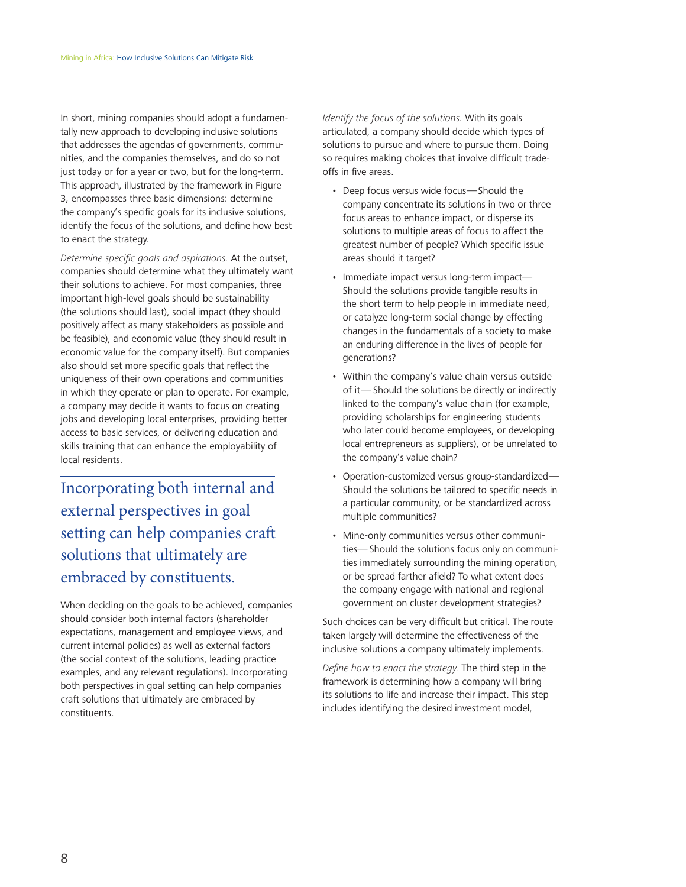In short, mining companies should adopt a fundamentally new approach to developing inclusive solutions that addresses the agendas of governments, communities, and the companies themselves, and do so not just today or for a year or two, but for the long-term. This approach, illustrated by the framework in Figure 3, encompasses three basic dimensions: determine the company's specific goals for its inclusive solutions, identify the focus of the solutions, and define how best to enact the strategy.

*Determine specific goals and aspirations.* At the outset, companies should determine what they ultimately want their solutions to achieve. For most companies, three important high-level goals should be sustainability (the solutions should last), social impact (they should positively affect as many stakeholders as possible and be feasible), and economic value (they should result in economic value for the company itself). But companies also should set more specific goals that reflect the uniqueness of their own operations and communities in which they operate or plan to operate. For example, a company may decide it wants to focus on creating jobs and developing local enterprises, providing better access to basic services, or delivering education and skills training that can enhance the employability of local residents.

Incorporating both internal and external perspectives in goal setting can help companies craft solutions that ultimately are embraced by constituents.

When deciding on the goals to be achieved, companies should consider both internal factors (shareholder expectations, management and employee views, and current internal policies) as well as external factors (the social context of the solutions, leading practice examples, and any relevant regulations). Incorporating both perspectives in goal setting can help companies craft solutions that ultimately are embraced by constituents.

*Identify the focus of the solutions.* With its goals articulated, a company should decide which types of solutions to pursue and where to pursue them. Doing so requires making choices that involve difficult tradeoffs in five areas.

- Deep focus versus wide focus—Should the company concentrate its solutions in two or three focus areas to enhance impact, or disperse its solutions to multiple areas of focus to affect the greatest number of people? Which specific issue areas should it target?
- Immediate impact versus long-term impact— Should the solutions provide tangible results in the short term to help people in immediate need, or catalyze long-term social change by effecting changes in the fundamentals of a society to make an enduring difference in the lives of people for generations?
- Within the company's value chain versus outside of it— Should the solutions be directly or indirectly linked to the company's value chain (for example, providing scholarships for engineering students who later could become employees, or developing local entrepreneurs as suppliers), or be unrelated to the company's value chain?
- Operation-customized versus group-standardized— Should the solutions be tailored to specific needs in a particular community, or be standardized across multiple communities?
- Mine-only communities versus other communities—Should the solutions focus only on communities immediately surrounding the mining operation, or be spread farther afield? To what extent does the company engage with national and regional government on cluster development strategies?

Such choices can be very difficult but critical. The route taken largely will determine the effectiveness of the inclusive solutions a company ultimately implements.

*Define how to enact the strategy.* The third step in the framework is determining how a company will bring its solutions to life and increase their impact. This step includes identifying the desired investment model,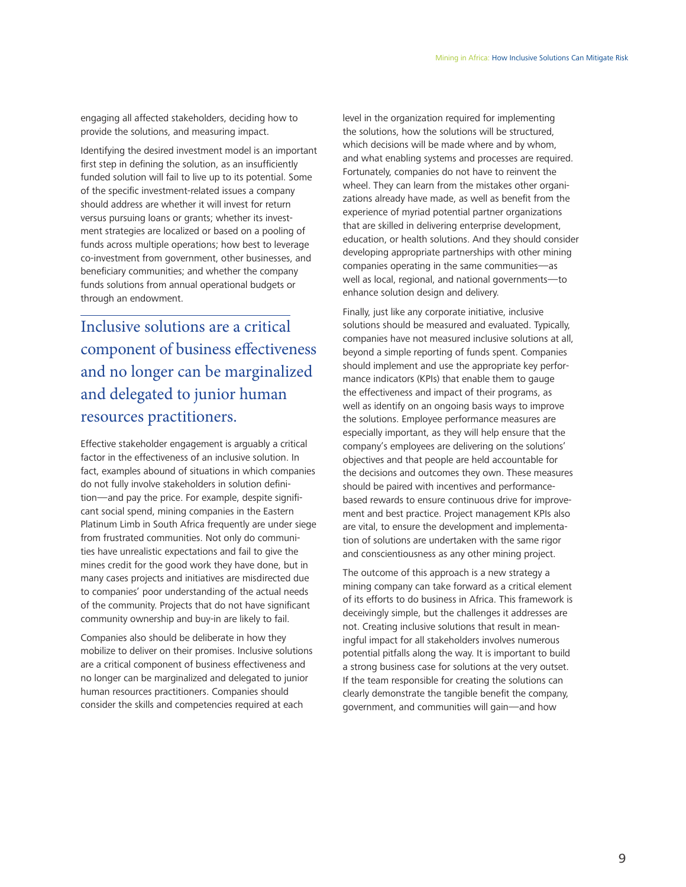engaging all affected stakeholders, deciding how to provide the solutions, and measuring impact.

Identifying the desired investment model is an important first step in defining the solution, as an insufficiently funded solution will fail to live up to its potential. Some of the specific investment-related issues a company should address are whether it will invest for return versus pursuing loans or grants; whether its investment strategies are localized or based on a pooling of funds across multiple operations; how best to leverage co-investment from government, other businesses, and beneficiary communities; and whether the company funds solutions from annual operational budgets or through an endowment.

Inclusive solutions are a critical component of business effectiveness and no longer can be marginalized and delegated to junior human resources practitioners.

Effective stakeholder engagement is arguably a critical factor in the effectiveness of an inclusive solution. In fact, examples abound of situations in which companies do not fully involve stakeholders in solution definition—and pay the price. For example, despite significant social spend, mining companies in the Eastern Platinum Limb in South Africa frequently are under siege from frustrated communities. Not only do communities have unrealistic expectations and fail to give the mines credit for the good work they have done, but in many cases projects and initiatives are misdirected due to companies' poor understanding of the actual needs of the community. Projects that do not have significant community ownership and buy-in are likely to fail.

Companies also should be deliberate in how they mobilize to deliver on their promises. Inclusive solutions are a critical component of business effectiveness and no longer can be marginalized and delegated to junior human resources practitioners. Companies should consider the skills and competencies required at each

level in the organization required for implementing the solutions, how the solutions will be structured, which decisions will be made where and by whom, and what enabling systems and processes are required. Fortunately, companies do not have to reinvent the wheel. They can learn from the mistakes other organizations already have made, as well as benefit from the experience of myriad potential partner organizations that are skilled in delivering enterprise development, education, or health solutions. And they should consider developing appropriate partnerships with other mining companies operating in the same communities—as well as local, regional, and national governments—to enhance solution design and delivery.

Finally, just like any corporate initiative, inclusive solutions should be measured and evaluated. Typically, companies have not measured inclusive solutions at all, beyond a simple reporting of funds spent. Companies should implement and use the appropriate key performance indicators (KPIs) that enable them to gauge the effectiveness and impact of their programs, as well as identify on an ongoing basis ways to improve the solutions. Employee performance measures are especially important, as they will help ensure that the company's employees are delivering on the solutions' objectives and that people are held accountable for the decisions and outcomes they own. These measures should be paired with incentives and performancebased rewards to ensure continuous drive for improvement and best practice. Project management KPIs also are vital, to ensure the development and implementation of solutions are undertaken with the same rigor and conscientiousness as any other mining project.

The outcome of this approach is a new strategy a mining company can take forward as a critical element of its efforts to do business in Africa. This framework is deceivingly simple, but the challenges it addresses are not. Creating inclusive solutions that result in meaningful impact for all stakeholders involves numerous potential pitfalls along the way. It is important to build a strong business case for solutions at the very outset. If the team responsible for creating the solutions can clearly demonstrate the tangible benefit the company, government, and communities will gain—and how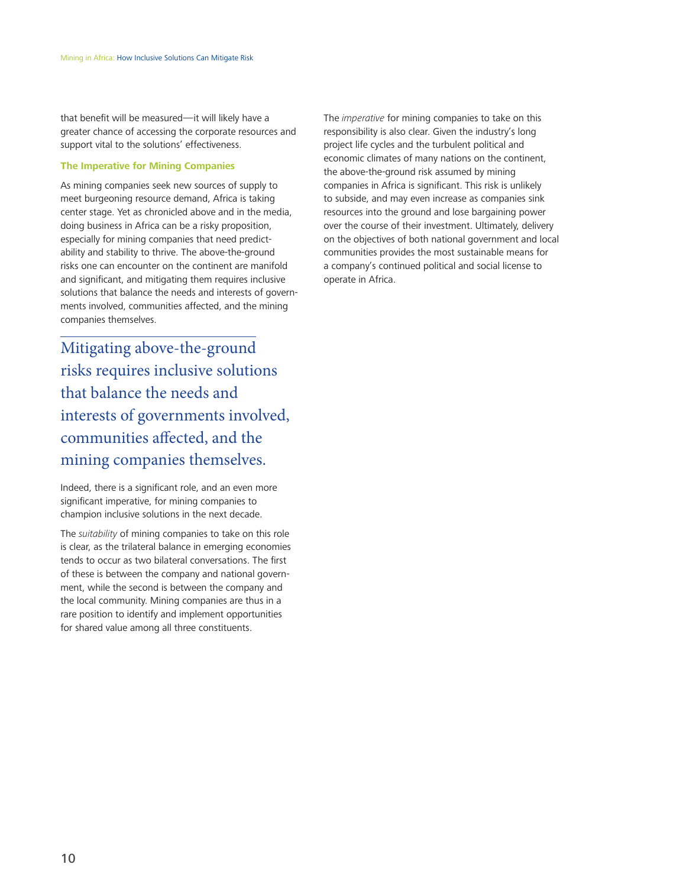that benefit will be measured—it will likely have a greater chance of accessing the corporate resources and support vital to the solutions' effectiveness.

#### **The Imperative for Mining Companies**

As mining companies seek new sources of supply to meet burgeoning resource demand, Africa is taking center stage. Yet as chronicled above and in the media, doing business in Africa can be a risky proposition, especially for mining companies that need predictability and stability to thrive. The above-the-ground risks one can encounter on the continent are manifold and significant, and mitigating them requires inclusive solutions that balance the needs and interests of governments involved, communities affected, and the mining companies themselves.

Mitigating above-the-ground risks requires inclusive solutions that balance the needs and interests of governments involved, communities affected, and the mining companies themselves.

Indeed, there is a significant role, and an even more significant imperative, for mining companies to champion inclusive solutions in the next decade.

The *suitability* of mining companies to take on this role is clear, as the trilateral balance in emerging economies tends to occur as two bilateral conversations. The first of these is between the company and national government, while the second is between the company and the local community. Mining companies are thus in a rare position to identify and implement opportunities for shared value among all three constituents.

The *imperative* for mining companies to take on this responsibility is also clear. Given the industry's long project life cycles and the turbulent political and economic climates of many nations on the continent, the above-the-ground risk assumed by mining companies in Africa is significant. This risk is unlikely to subside, and may even increase as companies sink resources into the ground and lose bargaining power over the course of their investment. Ultimately, delivery on the objectives of both national government and local communities provides the most sustainable means for a company's continued political and social license to operate in Africa.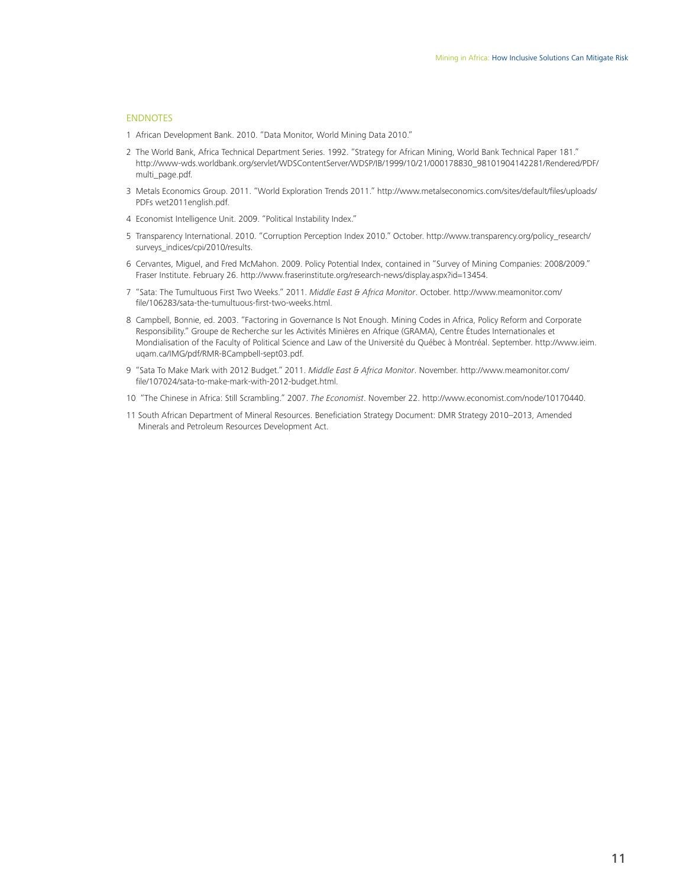#### ENDNOTES

- 1 African Development Bank. 2010. "Data Monitor, World Mining Data 2010."
- 2 The World Bank, Africa Technical Department Series. 1992. "Strategy for African Mining, World Bank Technical Paper 181." http://www-wds.worldbank.org/servlet/WDSContentServer/WDSP/IB/1999/10/21/000178830\_98101904142281/Rendered/PDF/ multi\_page.pdf.
- 3 Metals Economics Group. 2011. "World Exploration Trends 2011." http://www.metalseconomics.com/sites/default/files/uploads/ PDFs wet2011english.pdf.
- 4 Economist Intelligence Unit. 2009. "Political Instability Index."
- 5 Transparency International. 2010. "Corruption Perception Index 2010." October. http://www.transparency.org/policy\_research/ surveys\_indices/cpi/2010/results.
- 6 Cervantes, Miguel, and Fred McMahon. 2009. Policy Potential Index, contained in "Survey of Mining Companies: 2008/2009." Fraser Institute. February 26. http://www.fraserinstitute.org/research-news/display.aspx?id=13454.
- 7 "Sata: The Tumultuous First Two Weeks." 2011. *Middle East & Africa Monitor*. October. http://www.meamonitor.com/ file/106283/sata-the-tumultuous-first-two-weeks.html.
- 8 Campbell, Bonnie, ed. 2003. "Factoring in Governance Is Not Enough. Mining Codes in Africa, Policy Reform and Corporate Responsibility." Groupe de Recherche sur les Activités Minières en Afrique (GRAMA), Centre Études Internationales et Mondialisation of the Faculty of Political Science and Law of the Université du Québec à Montréal. September. http://www.ieim. uqam.ca/IMG/pdf/RMR-BCampbell-sept03.pdf.
- 9 "Sata To Make Mark with 2012 Budget." 2011. *Middle East & Africa Monitor*. November. http://www.meamonitor.com/ file/107024/sata-to-make-mark-with-2012-budget.html.
- 10 "The Chinese in Africa: Still Scrambling." 2007. *The Economist*. November 22. http://www.economist.com/node/10170440.
- 11 South African Department of Mineral Resources. Beneficiation Strategy Document: DMR Strategy 2010–2013, Amended Minerals and Petroleum Resources Development Act.